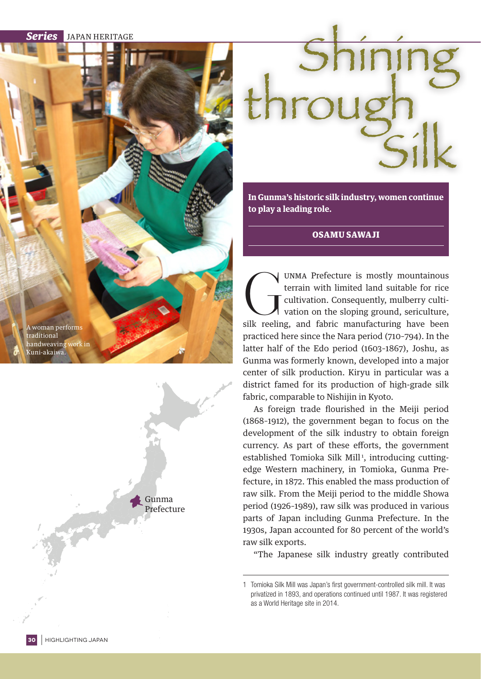*Series* JAPAN HERITAGE

A woman perfor<mark>m</mark>s traditional andweaving work in Kuni-akaiwa.





**In Gunma's historic silk industry, women continue to play a leading role.**

OSAMU SAWAJI

UNMA Prefecture is mostly mountainous<br>terrain with limited land suitable for rice<br>cultivation. Consequently, mulberry culti-<br>vation on the sloping ground, sericulture,<br>silk reeling, and fabric manufacturing have been terrain with limited land suitable for rice cultivation. Consequently, mulberry cultivation on the sloping ground, sericulture, practiced here since the Nara period (710–794). In the latter half of the Edo period (1603–1867), Joshu, as Gunma was formerly known, developed into a major center of silk production. Kiryu in particular was a district famed for its production of high-grade silk fabric, comparable to Nishijin in Kyoto.

As foreign trade flourished in the Meiji period (1868–1912), the government began to focus on the development of the silk industry to obtain foreign currency. As part of these efforts, the government established Tomioka Silk Mill<sup>1</sup>, introducing cuttingedge Western machinery, in Tomioka, Gunma Prefecture, in 1872. This enabled the mass production of raw silk. From the Meiji period to the middle Showa period (1926–1989), raw silk was produced in various parts of Japan including Gunma Prefecture. In the 1930s, Japan accounted for 80 percent of the world's raw silk exports.

"The Japanese silk industry greatly contributed

<sup>1</sup> Tomioka Silk Mill was Japan's first government-controlled silk mill. It was privatized in 1893, and operations continued until 1987. It was registered as a World Heritage site in 2014.